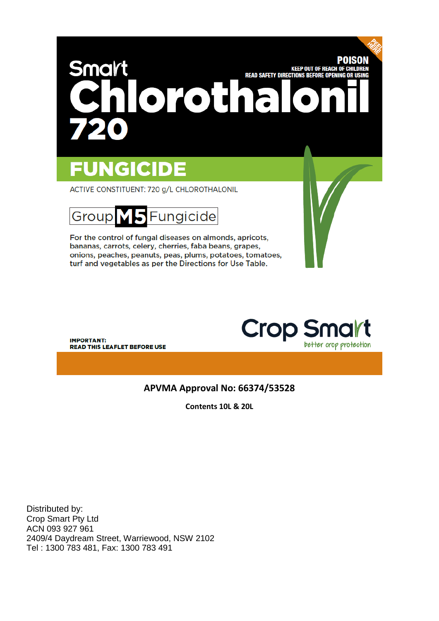# POISON Smart **KEEP OUT OF REACH OF CHILDREN READ SAFETY DIRECTIONS BEFORE OPENING OR USING** orotha

# **FUNGICIDE**

ACTIVE CONSTITUENT: 720 g/L CHLOROTHALONIL



For the control of fungal diseases on almonds, apricots, bananas, carrots, celery, cherries, faba beans, grapes, onions, peaches, peanuts, peas, plums, potatoes, tomatoes, turf and vegetables as per the Directions for Use Table.

**IMPORTANT: READ THIS LEAFLET BEFORE USE**  **Crop Sr** better crop protection

# **APVMA Approval No: 66374/53528**

**Contents 10L & 20L**

Distributed by: Crop Smart Pty Ltd ACN 093 927 961 2409/4 Daydream Street, Warriewood, NSW 2102 Tel : 1300 783 481, Fax: 1300 783 491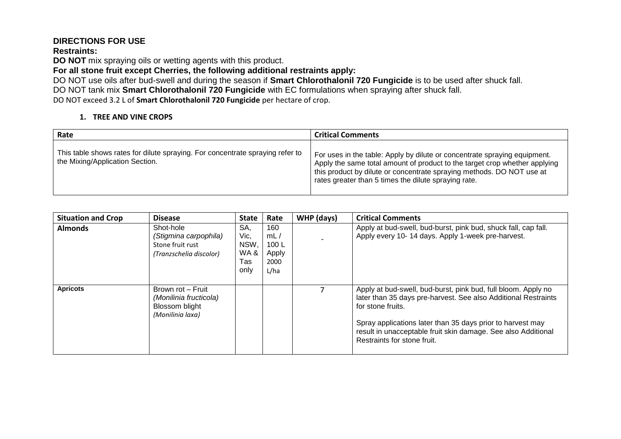# **DIRECTIONS FOR USE**

#### **Restraints:**

**DO NOT** mix spraying oils or wetting agents with this product.

**For all stone fruit except Cherries, the following additional restraints apply:** 

DO NOT use oils after bud-swell and during the season if **Smart Chlorothalonil 720 Fungicide** is to be used after shuck fall. DO NOT tank mix **Smart Chlorothalonil 720 Fungicide** with EC formulations when spraying after shuck fall.

DO NOT exceed 3.2 L of **Smart Chlorothalonil 720 Fungicide** per hectare of crop.

## **1. TREE AND VINE CROPS**

| Rate                                                                                                             | <b>Critical Comments</b>                                                                                                                                                                                                                                                                 |
|------------------------------------------------------------------------------------------------------------------|------------------------------------------------------------------------------------------------------------------------------------------------------------------------------------------------------------------------------------------------------------------------------------------|
| This table shows rates for dilute spraying. For concentrate spraying refer to<br>the Mixing/Application Section. | For uses in the table: Apply by dilute or concentrate spraying equipment.<br>Apply the same total amount of product to the target crop whether applying<br>this product by dilute or concentrate spraying methods. DO NOT use at<br>rates greater than 5 times the dilute spraying rate. |

| <b>Situation and Crop</b> | <b>Disease</b>                                                                    | <b>State</b>                              | Rate                                        | WHP (days) | <b>Critical Comments</b>                                                                                                                                                                                                                                                                                           |
|---------------------------|-----------------------------------------------------------------------------------|-------------------------------------------|---------------------------------------------|------------|--------------------------------------------------------------------------------------------------------------------------------------------------------------------------------------------------------------------------------------------------------------------------------------------------------------------|
| <b>Almonds</b>            | Shot-hole<br>(Stigmina carpophila)<br>Stone fruit rust<br>(Tranzschelia discolor) | SA.<br>Vic,<br>NSW,<br>WA&<br>Tas<br>only | 160<br>mL/<br>100L<br>Apply<br>2000<br>L/ha |            | Apply at bud-swell, bud-burst, pink bud, shuck fall, cap fall.<br>Apply every 10-14 days. Apply 1-week pre-harvest.                                                                                                                                                                                                |
| <b>Apricots</b>           | Brown rot - Fruit<br>(Monilinia fructicola)<br>Blossom blight<br>(Monilinia laxa) |                                           |                                             |            | Apply at bud-swell, bud-burst, pink bud, full bloom. Apply no<br>later than 35 days pre-harvest. See also Additional Restraints<br>for stone fruits.<br>Spray applications later than 35 days prior to harvest may<br>result in unacceptable fruit skin damage. See also Additional<br>Restraints for stone fruit. |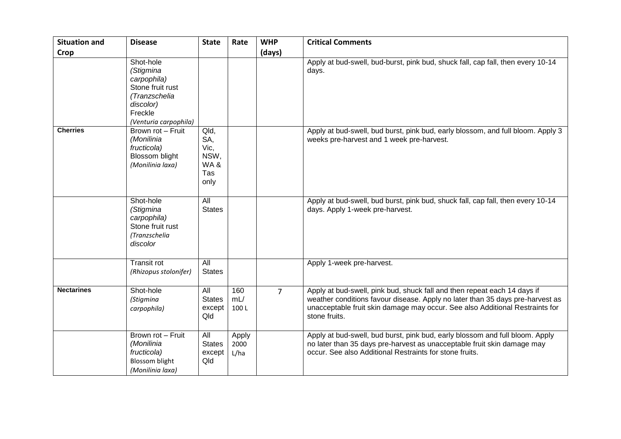| <b>Situation and</b> | <b>Disease</b>                                                                                                              | <b>State</b>                                      | Rate                  | <b>WHP</b>     | <b>Critical Comments</b>                                                                                                                                                                                                                                   |
|----------------------|-----------------------------------------------------------------------------------------------------------------------------|---------------------------------------------------|-----------------------|----------------|------------------------------------------------------------------------------------------------------------------------------------------------------------------------------------------------------------------------------------------------------------|
| Crop                 |                                                                                                                             |                                                   |                       | (days)         |                                                                                                                                                                                                                                                            |
|                      | Shot-hole<br>(Stigmina<br>carpophila)<br>Stone fruit rust<br>(Tranzschelia<br>discolor)<br>Freckle<br>(Venturia carpophila) |                                                   |                       |                | Apply at bud-swell, bud-burst, pink bud, shuck fall, cap fall, then every 10-14<br>days.                                                                                                                                                                   |
| <b>Cherries</b>      | Brown rot - Fruit<br>(Monilinia<br>fructicola)<br>Blossom blight<br>(Monilinia laxa)                                        | Qld,<br>SA,<br>Vic,<br>NSW,<br>WA&<br>Tas<br>only |                       |                | Apply at bud-swell, bud burst, pink bud, early blossom, and full bloom. Apply 3<br>weeks pre-harvest and 1 week pre-harvest.                                                                                                                               |
|                      | Shot-hole<br>(Stigmina<br>carpophila)<br>Stone fruit rust<br>(Tranzschelia<br>discolor                                      | All<br><b>States</b>                              |                       |                | Apply at bud-swell, bud burst, pink bud, shuck fall, cap fall, then every 10-14<br>days. Apply 1-week pre-harvest.                                                                                                                                         |
|                      | <b>Transit rot</b><br>(Rhizopus stolonifer)                                                                                 | All<br><b>States</b>                              |                       |                | Apply 1-week pre-harvest.                                                                                                                                                                                                                                  |
| <b>Nectarines</b>    | Shot-hole<br>(Stigmina<br>carpophila)                                                                                       | All<br><b>States</b><br>except<br>Qld             | 160<br>mL/<br>100L    | $\overline{7}$ | Apply at bud-swell, pink bud, shuck fall and then repeat each 14 days if<br>weather conditions favour disease. Apply no later than 35 days pre-harvest as<br>unacceptable fruit skin damage may occur. See also Additional Restraints for<br>stone fruits. |
|                      | Brown rot - Fruit<br>(Monilinia<br>fructicola)<br><b>Blossom blight</b><br>(Monilinia laxa)                                 | All<br><b>States</b><br>except<br>Qld             | Apply<br>2000<br>L/ha |                | Apply at bud-swell, bud burst, pink bud, early blossom and full bloom. Apply<br>no later than 35 days pre-harvest as unacceptable fruit skin damage may<br>occur. See also Additional Restraints for stone fruits.                                         |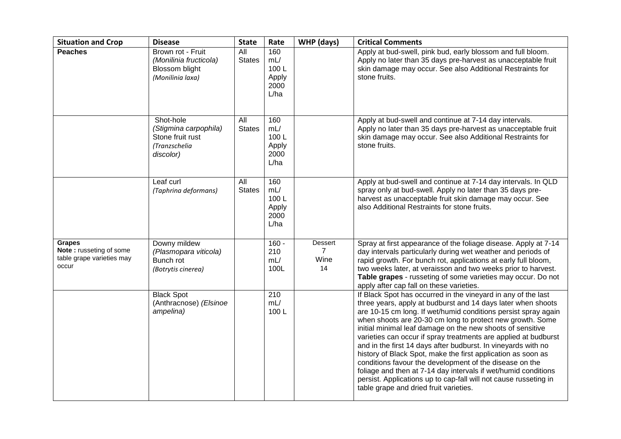| <b>Situation and Crop</b>                                                      | <b>Disease</b>                                                                       | <b>State</b>         | Rate                                        | WHP (days)                              | <b>Critical Comments</b>                                                                                                                                                                                                                                                                                                                                                                                                                                                                                                                                                                                                                                                                                                                                                  |
|--------------------------------------------------------------------------------|--------------------------------------------------------------------------------------|----------------------|---------------------------------------------|-----------------------------------------|---------------------------------------------------------------------------------------------------------------------------------------------------------------------------------------------------------------------------------------------------------------------------------------------------------------------------------------------------------------------------------------------------------------------------------------------------------------------------------------------------------------------------------------------------------------------------------------------------------------------------------------------------------------------------------------------------------------------------------------------------------------------------|
| <b>Peaches</b>                                                                 | Brown rot - Fruit<br>(Monilinia fructicola)<br>Blossom blight<br>(Monilinia laxa)    | All<br><b>States</b> | 160<br>mL/<br>100L<br>Apply<br>2000<br>L/ha |                                         | Apply at bud-swell, pink bud, early blossom and full bloom.<br>Apply no later than 35 days pre-harvest as unacceptable fruit<br>skin damage may occur. See also Additional Restraints for<br>stone fruits.                                                                                                                                                                                                                                                                                                                                                                                                                                                                                                                                                                |
|                                                                                | Shot-hole<br>(Stigmina carpophila)<br>Stone fruit rust<br>(Tranzschelia<br>discolor) | All<br><b>States</b> | 160<br>mL/<br>100L<br>Apply<br>2000<br>L/ha |                                         | Apply at bud-swell and continue at 7-14 day intervals.<br>Apply no later than 35 days pre-harvest as unacceptable fruit<br>skin damage may occur. See also Additional Restraints for<br>stone fruits.                                                                                                                                                                                                                                                                                                                                                                                                                                                                                                                                                                     |
|                                                                                | Leaf curl<br>(Taphrina deformans)                                                    | All<br><b>States</b> | 160<br>mL/<br>100L<br>Apply<br>2000<br>L/ha |                                         | Apply at bud-swell and continue at 7-14 day intervals. In QLD<br>spray only at bud-swell. Apply no later than 35 days pre-<br>harvest as unacceptable fruit skin damage may occur. See<br>also Additional Restraints for stone fruits.                                                                                                                                                                                                                                                                                                                                                                                                                                                                                                                                    |
| <b>Grapes</b><br>Note: russeting of some<br>table grape varieties may<br>occur | Downy mildew<br>(Plasmopara viticola)<br>Bunch rot<br>(Botrytis cinerea)             |                      | $160 -$<br>210<br>mL/<br>100L               | Dessert<br>$\overline{7}$<br>Wine<br>14 | Spray at first appearance of the foliage disease. Apply at 7-14<br>day intervals particularly during wet weather and periods of<br>rapid growth. For bunch rot, applications at early full bloom,<br>two weeks later, at veraisson and two weeks prior to harvest.<br>Table grapes - russeting of some varieties may occur. Do not<br>apply after cap fall on these varieties.                                                                                                                                                                                                                                                                                                                                                                                            |
|                                                                                | <b>Black Spot</b><br>(Anthracnose) (Elsinoe<br>ampelina)                             |                      | 210<br>mL/<br>100L                          |                                         | If Black Spot has occurred in the vineyard in any of the last<br>three years, apply at budburst and 14 days later when shoots<br>are 10-15 cm long. If wet/humid conditions persist spray again<br>when shoots are 20-30 cm long to protect new growth. Some<br>initial minimal leaf damage on the new shoots of sensitive<br>varieties can occur if spray treatments are applied at budburst<br>and in the first 14 days after budburst. In vineyards with no<br>history of Black Spot, make the first application as soon as<br>conditions favour the development of the disease on the<br>foliage and then at 7-14 day intervals if wet/humid conditions<br>persist. Applications up to cap-fall will not cause russeting in<br>table grape and dried fruit varieties. |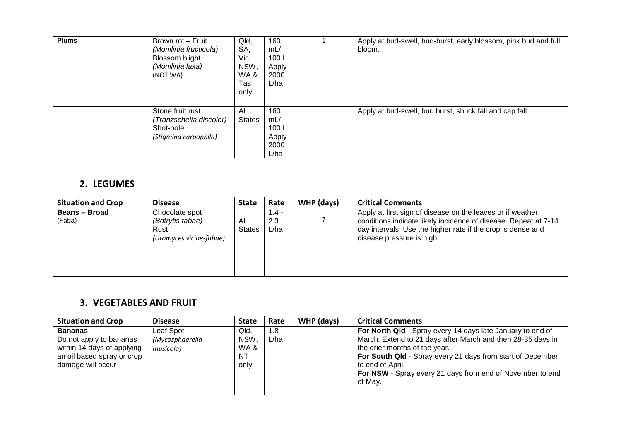| <b>Plums</b> | Brown rot - Fruit<br>(Monilinia fructicola)<br>Blossom blight<br>(Monilinia laxa)<br>(NOT WA) | Qld,<br>SA,<br>Vic,<br>NSW,<br>WA &<br>Tas<br>only | 160<br>mL/<br>100L<br>Apply<br>2000<br>L/ha | Apply at bud-swell, bud-burst, early blossom, pink bud and full<br>bloom. |
|--------------|-----------------------------------------------------------------------------------------------|----------------------------------------------------|---------------------------------------------|---------------------------------------------------------------------------|
|              | Stone fruit rust<br>(Tranzschelia discolor)<br>Shot-hole<br>(Stigmina carpophila)             | All<br><b>States</b>                               | 160<br>mL/<br>100L<br>Apply<br>2000<br>L/ha | Apply at bud-swell, bud burst, shuck fall and cap fall.                   |

# **2. LEGUMES**

| <b>Situation and Crop</b>      | <b>Disease</b>                                                        | <b>State</b>         | Rate                   | WHP (days) | <b>Critical Comments</b>                                                                                                                                                                                                  |
|--------------------------------|-----------------------------------------------------------------------|----------------------|------------------------|------------|---------------------------------------------------------------------------------------------------------------------------------------------------------------------------------------------------------------------------|
| <b>Beans - Broad</b><br>(Faba) | Chocolate spot<br>(Botrytis fabae)<br>Rust<br>(Uromyces viciae-fabae) | All<br><b>States</b> | $1.4 -$<br>2.3<br>L/ha |            | Apply at first sign of disease on the leaves or if weather<br>conditions indicate likely incidence of disease. Repeat at 7-14<br>day intervals. Use the higher rate if the crop is dense and<br>disease pressure is high. |

# **3. VEGETABLES AND FRUIT**

| <b>Situation and Crop</b>                                                                                                  | <b>Disease</b>                            | <b>State</b>                                   | Rate        | WHP (days) | <b>Critical Comments</b>                                                                                                                                                                                                                                                                                             |
|----------------------------------------------------------------------------------------------------------------------------|-------------------------------------------|------------------------------------------------|-------------|------------|----------------------------------------------------------------------------------------------------------------------------------------------------------------------------------------------------------------------------------------------------------------------------------------------------------------------|
| <b>Bananas</b><br>Do not apply to bananas<br>within 14 days of applying<br>an oil based spray or crop<br>damage will occur | Leaf Spot<br>(Mycosphaerella<br>musicola) | Qld,<br><b>NSW</b><br>WA&<br><b>NT</b><br>only | 1.8<br>L/ha |            | For North Qld - Spray every 14 days late January to end of<br>March. Extend to 21 days after March and then 28-35 days in<br>the drier months of the year.<br>For South Qld - Spray every 21 days from start of December<br>to end of April.<br>For NSW - Spray every 21 days from end of November to end<br>of May. |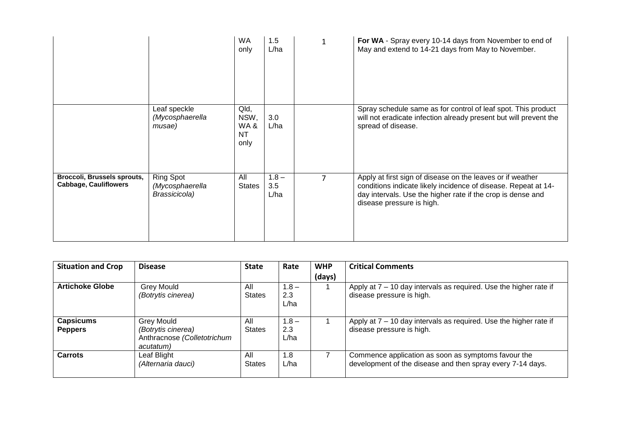|                                                                    |                                                      | <b>WA</b><br>only                        | 1.5<br>L/ha            | $\mathbf{1}$ | For WA - Spray every 10-14 days from November to end of<br>May and extend to 14-21 days from May to November.                                                                                                            |
|--------------------------------------------------------------------|------------------------------------------------------|------------------------------------------|------------------------|--------------|--------------------------------------------------------------------------------------------------------------------------------------------------------------------------------------------------------------------------|
|                                                                    | Leaf speckle<br>(Mycosphaerella<br>musae)            | Qld,<br>NSW,<br>WA&<br><b>NT</b><br>only | 3.0<br>L/ha            |              | Spray schedule same as for control of leaf spot. This product<br>will not eradicate infection already present but will prevent the<br>spread of disease.                                                                 |
| <b>Broccoli, Brussels sprouts,</b><br><b>Cabbage, Cauliflowers</b> | <b>Ring Spot</b><br>(Mycosphaerella<br>Brassicicola) | All<br><b>States</b>                     | $1.8 -$<br>3.5<br>L/ha |              | Apply at first sign of disease on the leaves or if weather<br>conditions indicate likely incidence of disease. Repeat at 14-<br>day intervals. Use the higher rate if the crop is dense and<br>disease pressure is high. |

| <b>Situation and Crop</b>          | <b>Disease</b>                                                                      | <b>State</b>         | Rate                   | <b>WHP</b> | <b>Critical Comments</b>                                                                                          |
|------------------------------------|-------------------------------------------------------------------------------------|----------------------|------------------------|------------|-------------------------------------------------------------------------------------------------------------------|
|                                    |                                                                                     |                      |                        | (days)     |                                                                                                                   |
| <b>Artichoke Globe</b>             | <b>Grey Mould</b><br>(Botrytis cinerea)                                             | All<br><b>States</b> | $1.8 -$<br>2.3<br>L/ha |            | Apply at 7 - 10 day intervals as required. Use the higher rate if<br>disease pressure is high.                    |
| <b>Capsicums</b><br><b>Peppers</b> | <b>Grey Mould</b><br>(Botrytis cinerea)<br>Anthracnose (Colletotrichum<br>acutatum) | All<br><b>States</b> | $1.8 -$<br>2.3<br>L/ha |            | Apply at 7 - 10 day intervals as required. Use the higher rate if<br>disease pressure is high.                    |
| <b>Carrots</b>                     | Leaf Blight<br>(Alternaria dauci)                                                   | All<br><b>States</b> | 1.8<br>L/ha            |            | Commence application as soon as symptoms favour the<br>development of the disease and then spray every 7-14 days. |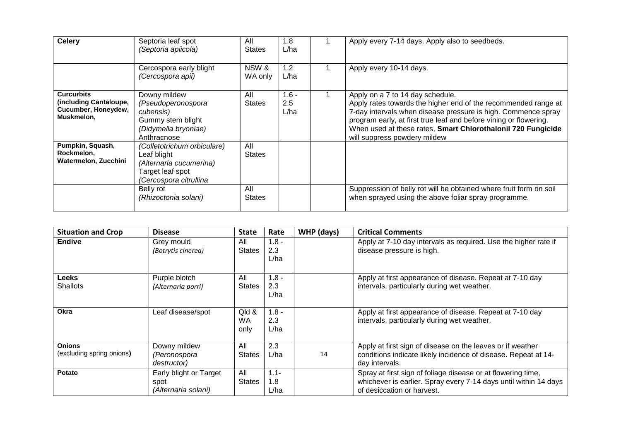| <b>Celery</b>                                                                    | Septoria leaf spot<br>(Septoria apiicola)                                                                           | All<br>States        | 1.8<br>L/ha            | Apply every 7-14 days. Apply also to seedbeds.                                                                                                                                                                                                                                                                                           |
|----------------------------------------------------------------------------------|---------------------------------------------------------------------------------------------------------------------|----------------------|------------------------|------------------------------------------------------------------------------------------------------------------------------------------------------------------------------------------------------------------------------------------------------------------------------------------------------------------------------------------|
|                                                                                  | Cercospora early blight<br>(Cercospora apii)                                                                        | NSW &<br>WA only     | 1.2<br>L/ha            | Apply every 10-14 days.                                                                                                                                                                                                                                                                                                                  |
| <b>Curcurbits</b><br>(including Cantaloupe,<br>Cucumber, Honeydew,<br>Muskmelon, | Downy mildew<br>(Pseudoperonospora<br>cubensis)<br>Gummy stem blight<br>(Didymella bryoniae)<br>Anthracnose         | All<br><b>States</b> | $1.6 -$<br>2.5<br>L/ha | Apply on a 7 to 14 day schedule.<br>Apply rates towards the higher end of the recommended range at<br>7-day intervals when disease pressure is high. Commence spray<br>program early, at first true leaf and before vining or flowering.<br>When used at these rates, Smart Chlorothalonil 720 Fungicide<br>will suppress powdery mildew |
| Pumpkin, Squash,<br>Rockmelon,<br>Watermelon, Zucchini                           | (Colletotrichum orbiculare)<br>Leaf blight<br>(Alternaria cucumerina)<br>Target leaf spot<br>(Cercospora citrullina | All<br><b>States</b> |                        |                                                                                                                                                                                                                                                                                                                                          |
|                                                                                  | Belly rot<br>(Rhizoctonia solani)                                                                                   | All<br>States        |                        | Suppression of belly rot will be obtained where fruit form on soil<br>when sprayed using the above foliar spray programme.                                                                                                                                                                                                               |

| <b>Situation and Crop</b> | <b>Disease</b>                   | <b>State</b>               | Rate                   | WHP (days) | <b>Critical Comments</b>                                                                                |
|---------------------------|----------------------------------|----------------------------|------------------------|------------|---------------------------------------------------------------------------------------------------------|
| <b>Endive</b>             | Grey mould<br>(Botrytis cinerea) | All<br><b>States</b>       | $1.8 -$<br>2.3<br>L/ha |            | Apply at 7-10 day intervals as required. Use the higher rate if<br>disease pressure is high.            |
| <b>Leeks</b>              | Purple blotch                    | All                        | $1.8 -$                |            | Apply at first appearance of disease. Repeat at 7-10 day                                                |
| <b>Shallots</b>           | (Alternaria porri)               | <b>States</b>              | 2.3<br>L/ha            |            | intervals, particularly during wet weather.                                                             |
| Okra                      | Leaf disease/spot                | Qld &<br><b>WA</b><br>only | $1.8 -$<br>2.3<br>L/ha |            | Apply at first appearance of disease. Repeat at 7-10 day<br>intervals, particularly during wet weather. |
| <b>Onions</b>             | Downy mildew                     | All                        | 2.3                    |            | Apply at first sign of disease on the leaves or if weather                                              |
| (excluding spring onions) | (Peronospora<br>destructor)      | <b>States</b>              | L/ha                   | 14         | conditions indicate likely incidence of disease. Repeat at 14-<br>day intervals.                        |
| <b>Potato</b>             | Early blight or Target           | All                        | $1.1 -$                |            | Spray at first sign of foliage disease or at flowering time,                                            |
|                           | spot                             | <b>States</b>              | 1.8                    |            | whichever is earlier. Spray every 7-14 days until within 14 days                                        |
|                           | (Alternaria solani)              |                            | L/ha                   |            | of desiccation or harvest.                                                                              |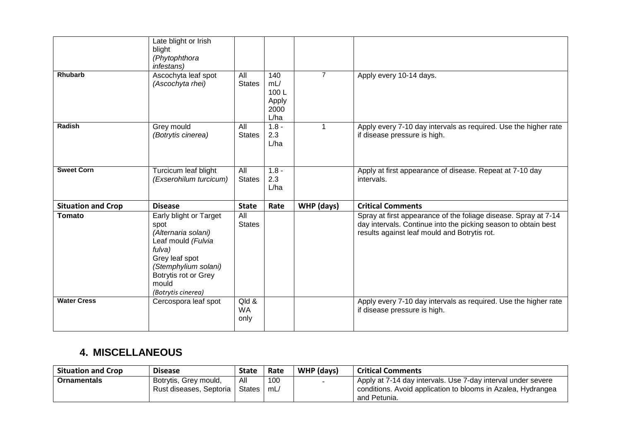| <b>Rhubarb</b>            | Late blight or Irish<br>blight<br>(Phytophthora<br>infestans)<br>Ascochyta leaf spot<br>(Ascochyta rhei)                                                                               | All<br><b>States</b>       | 140<br>mL/<br>100L<br>Apply<br>2000 | $\overline{7}$ | Apply every 10-14 days.                                                                                                                                                           |
|---------------------------|----------------------------------------------------------------------------------------------------------------------------------------------------------------------------------------|----------------------------|-------------------------------------|----------------|-----------------------------------------------------------------------------------------------------------------------------------------------------------------------------------|
| <b>Radish</b>             | Grey mould<br>(Botrytis cinerea)                                                                                                                                                       | All<br><b>States</b>       | L/ha<br>$1.8 -$<br>2.3<br>L/ha      | $\mathbf{1}$   | Apply every 7-10 day intervals as required. Use the higher rate<br>if disease pressure is high.                                                                                   |
| <b>Sweet Corn</b>         | Turcicum leaf blight<br>(Exserohilum turcicum)                                                                                                                                         | All<br><b>States</b>       | $1.8 -$<br>2.3<br>L/ha              |                | Apply at first appearance of disease. Repeat at 7-10 day<br>intervals.                                                                                                            |
| <b>Situation and Crop</b> | <b>Disease</b>                                                                                                                                                                         | <b>State</b>               | Rate                                | WHP (days)     | <b>Critical Comments</b>                                                                                                                                                          |
| <b>Tomato</b>             | Early blight or Target<br>spot<br>(Alternaria solani)<br>Leaf mould (Fulvia<br>fulva)<br>Grey leaf spot<br>(Stemphylium solani)<br>Botrytis rot or Grey<br>mould<br>(Botrytis cinerea) | All<br><b>States</b>       |                                     |                | Spray at first appearance of the foliage disease. Spray at 7-14<br>day intervals. Continue into the picking season to obtain best<br>results against leaf mould and Botrytis rot. |
| <b>Water Cress</b>        | Cercospora leaf spot                                                                                                                                                                   | Qld &<br><b>WA</b><br>only |                                     |                | Apply every 7-10 day intervals as required. Use the higher rate<br>if disease pressure is high.                                                                                   |

# **4. MISCELLANEOUS**

| <b>Situation and Crop</b> | <b>Disease</b>                                   | <b>State</b>  | Rate      | WHP (days) | <b>Critical Comments</b>                                                                                                     |
|---------------------------|--------------------------------------------------|---------------|-----------|------------|------------------------------------------------------------------------------------------------------------------------------|
| <b>Ornamentals</b>        | Botrytis, Grey mould,<br>Rust diseases, Septoria | All<br>States | 100<br>mL |            | Apply at 7-14 day intervals. Use 7-day interval under severe<br>conditions. Avoid application to blooms in Azalea, Hydrangea |
|                           |                                                  |               |           |            | and Petunia.                                                                                                                 |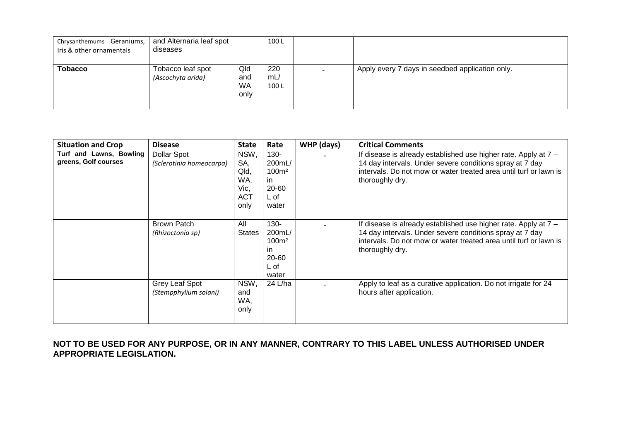| Chrysanthemums Geraniums,<br>Iris & other ornamentals | and Alternaria leaf spot<br>diseases   |                                 | 100L               |                                                 |
|-------------------------------------------------------|----------------------------------------|---------------------------------|--------------------|-------------------------------------------------|
| <b>Tobacco</b>                                        | Tobacco leaf spot<br>(Ascochyta arida) | Qld<br>and<br><b>WA</b><br>only | 220<br>mL/<br>100L | Apply every 7 days in seedbed application only. |

| <b>Situation and Crop</b>                       | <b>Disease</b>                          | <b>State</b>                                             | Rate                                                                    | WHP (days) | <b>Critical Comments</b>                                                                                                                                                                                            |
|-------------------------------------------------|-----------------------------------------|----------------------------------------------------------|-------------------------------------------------------------------------|------------|---------------------------------------------------------------------------------------------------------------------------------------------------------------------------------------------------------------------|
| Turf and Lawns, Bowling<br>greens, Golf courses | Dollar Spot<br>(Sclerotinia homeocarpa) | NSW,<br>SA,<br>Qld,<br>WA,<br>Vic,<br><b>ACT</b><br>only | $130 -$<br>200mL/<br>100 <sup>m²</sup><br>in.<br>20-60<br>L of<br>water |            | If disease is already established use higher rate. Apply at 7 -<br>14 day intervals. Under severe conditions spray at 7 day<br>intervals. Do not mow or water treated area until turf or lawn is<br>thoroughly dry. |
|                                                 | <b>Brown Patch</b><br>(Rhizoctonia sp)  | All<br><b>States</b>                                     | $130 -$<br>200mL/<br>100m <sup>2</sup><br>ın<br>20-60<br>L of<br>water  |            | If disease is already established use higher rate. Apply at 7 -<br>14 day intervals. Under severe conditions spray at 7 day<br>intervals. Do not mow or water treated area until turf or lawn is<br>thoroughly dry. |
|                                                 | Grey Leaf Spot<br>(Stempphylium solani) | NSW,<br>and<br>WA,<br>only                               | 24 L/ha                                                                 |            | Apply to leaf as a curative application. Do not irrigate for 24<br>hours after application.                                                                                                                         |

**NOT TO BE USED FOR ANY PURPOSE, OR IN ANY MANNER, CONTRARY TO THIS LABEL UNLESS AUTHORISED UNDER APPROPRIATE LEGISLATION.**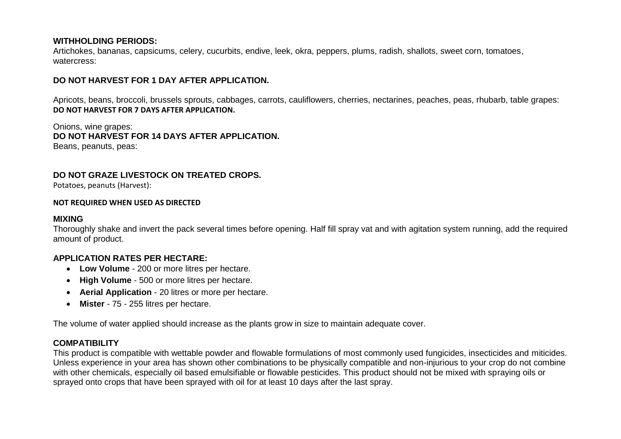## **WITHHOLDING PERIODS:**

Artichokes, bananas, capsicums, celery, cucurbits, endive, leek, okra, peppers, plums, radish, shallots, sweet corn, tomatoes, watercress:

## **DO NOT HARVEST FOR 1 DAY AFTER APPLICATION.**

Apricots, beans, broccoli, brussels sprouts, cabbages, carrots, cauliflowers, cherries, nectarines, peaches, peas, rhubarb, table grapes: **DO NOT HARVEST FOR 7 DAYS AFTER APPLICATION.**

Onions, wine grapes: **DO NOT HARVEST FOR 14 DAYS AFTER APPLICATION.**  Beans, peanuts, peas:

# **DO NOT GRAZE LIVESTOCK ON TREATED CROPS.**

Potatoes, peanuts (Harvest):

#### **NOT REQUIRED WHEN USED AS DIRECTED**

#### **MIXING**

Thoroughly shake and invert the pack several times before opening. Half fill spray vat and with agitation system running, add the required amount of product.

#### **APPLICATION RATES PER HECTARE:**

- **Low Volume**  200 or more litres per hectare.
- **High Volume**  500 or more litres per hectare.
- **Aerial Application**  20 litres or more per hectare.
- **Mister**  75 255 litres per hectare.

The volume of water applied should increase as the plants grow in size to maintain adequate cover.

# **COMPATIBILITY**

This product is compatible with wettable powder and flowable formulations of most commonly used fungicides, insecticides and miticides. Unless experience in your area has shown other combinations to be physically compatible and non-injurious to your crop do not combine with other chemicals, especially oil based emulsifiable or flowable pesticides. This product should not be mixed with spraying oils or sprayed onto crops that have been sprayed with oil for at least 10 days after the last spray.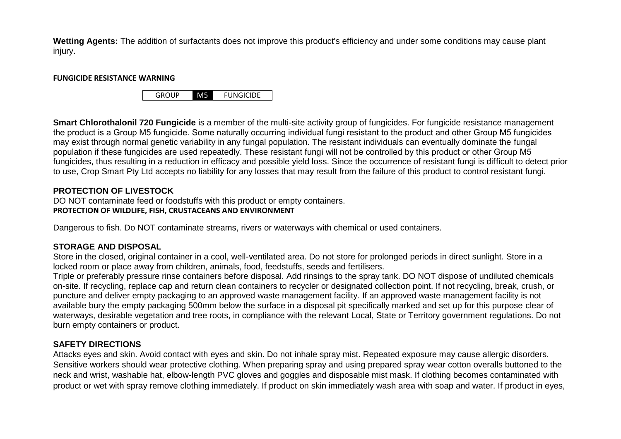**Wetting Agents:** The addition of surfactants does not improve this product's efficiency and under some conditions may cause plant injury.

#### **FUNGICIDE RESISTANCE WARNING**

GROUP M5 FUNGICIDE

**Smart Chlorothalonil 720 Fungicide** is a member of the multi-site activity group of fungicides. For fungicide resistance management the product is a Group Μ5 fungicide. Some naturally occurring individual fungi resistant to the product and other Group Μ5 fungicides may exist through normal genetic variability in any fungal population. The resistant individuals can eventually dominate the fungal population if these fungicides are used repeatedly. These resistant fungi will not be controlled by this product or other Group Μ5 fungicides, thus resulting in a reduction in efficacy and possible yield loss. Since the occurrence of resistant fungi is difficult to detect prior to use, Crop Smart Pty Ltd accepts no liability for any losses that may result from the failure of this product to control resistant fungi.

# **PROTECTION OF LIVESTOCK**

DO NOT contaminate feed or foodstuffs with this product or empty containers. **PROTECTION OF WILDLIFE, FISH, CRUSTACEANS AND ENVIRONMENT**

Dangerous to fish. Do NOT contaminate streams, rivers or waterways with chemical or used containers.

# **STORAGE AND DISPOSAL**

Store in the closed, original container in a cool, well-ventilated area. Do not store for prolonged periods in direct sunlight. Store in a locked room or place away from children, animals, food, feedstuffs, seeds and fertilisers.

Triple or preferably pressure rinse containers before disposal. Add rinsings to the spray tank. DO NOT dispose of undiluted chemicals on-site. If recycling, replace cap and return clean containers to recycler or designated collection point. If not recycling, break, crush, or puncture and deliver empty packaging to an approved waste management facility. If an approved waste management facility is not available bury the empty packaging 500mm below the surface in a disposal pit specifically marked and set up for this purpose clear of waterways, desirable vegetation and tree roots, in compliance with the relevant Local, State or Territory government regulations. Do not burn empty containers or product.

# **SAFETY DIRECTIONS**

Attacks eyes and skin. Avoid contact with eyes and skin. Do not inhale spray mist. Repeated exposure may cause allergic disorders. Sensitive workers should wear protective clothing. When preparing spray and using prepared spray wear cotton overalls buttoned to the neck and wrist, washable hat, elbow-length PVC gloves and goggles and disposable mist mask. If clothing becomes contaminated with product or wet with spray remove clothing immediately. If product on skin immediately wash area with soap and water. If product in eyes,